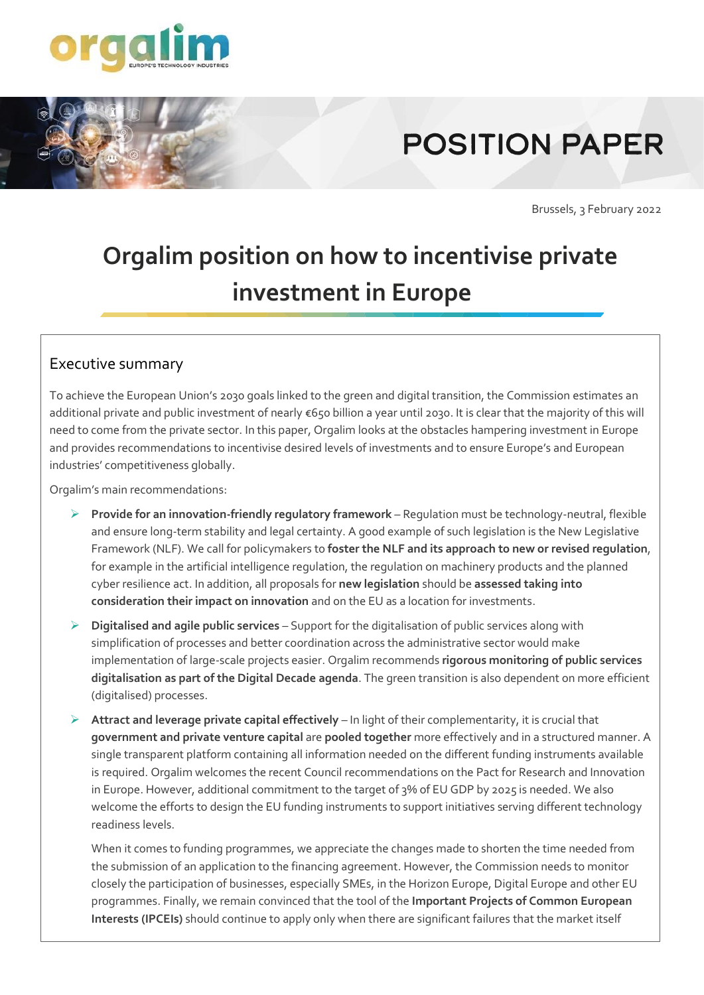

# **POSITION PAPER**

Brussels, 3 February 2022

# **Orgalim position on how to incentivise private investment in Europe**

#### Executive summary

To achieve the European Union's 2030 goals linked to the green and digital transition, the Commission estimates an additional private and public investment of nearly €650 billion a year until 2030. It is clear that the majority of this will need to come from the private sector. In this paper, Orgalim looks at the obstacles hampering investment in Europe and provides recommendations to incentivise desired levels of investments and to ensure Europe's and European industries' competitiveness globally.

Orgalim's main recommendations:

- ➢ **Provide for an innovation-friendly regulatory framework** Regulation must be technology-neutral, flexible and ensure long-term stability and legal certainty. A good example of such legislation is the New Legislative Framework (NLF). We call for policymakers to **foster the NLF and its approach to new or revised regulation**, for example in the artificial intelligence regulation, the regulation on machinery products and the planned cyber resilience act. In addition, all proposals for **new legislation** should be **assessed taking into consideration their impact on innovation** and on the EU as a location for investments.
- ➢ **Digitalised and agile public services**  Support for the digitalisation of public services along with simplification of processes and better coordination across the administrative sector would make implementation of large-scale projects easier. Orgalim recommends **rigorous monitoring of public services digitalisation as part of the Digital Decade agenda**. The green transition is also dependent on more efficient (digitalised) processes.
- ➢ **Attract and leverage private capital effectively** In light of their complementarity, it is crucial that **government and private venture capital** are **pooled together** more effectively and in a structured manner. A single transparent platform containing all information needed on the different funding instruments available is required. Orgalim welcomes the recent Council recommendations on the Pact for Research and Innovation in Europe. However, additional commitment to the target of 3% of EU GDP by 2025 is needed. We also welcome the efforts to design the EU funding instruments to support initiatives serving different technology readiness levels.

When it comes to funding programmes, we appreciate the changes made to shorten the time needed from the submission of an application to the financing agreement. However, the Commission needs to monitor closely the participation of businesses, especially SMEs, in the Horizon Europe, Digital Europe and other EU programmes. Finally, we remain convinced that the tool of the **Important Projects of Common European Interests (IPCEIs)** should continue to apply only when there are significant failures that the market itself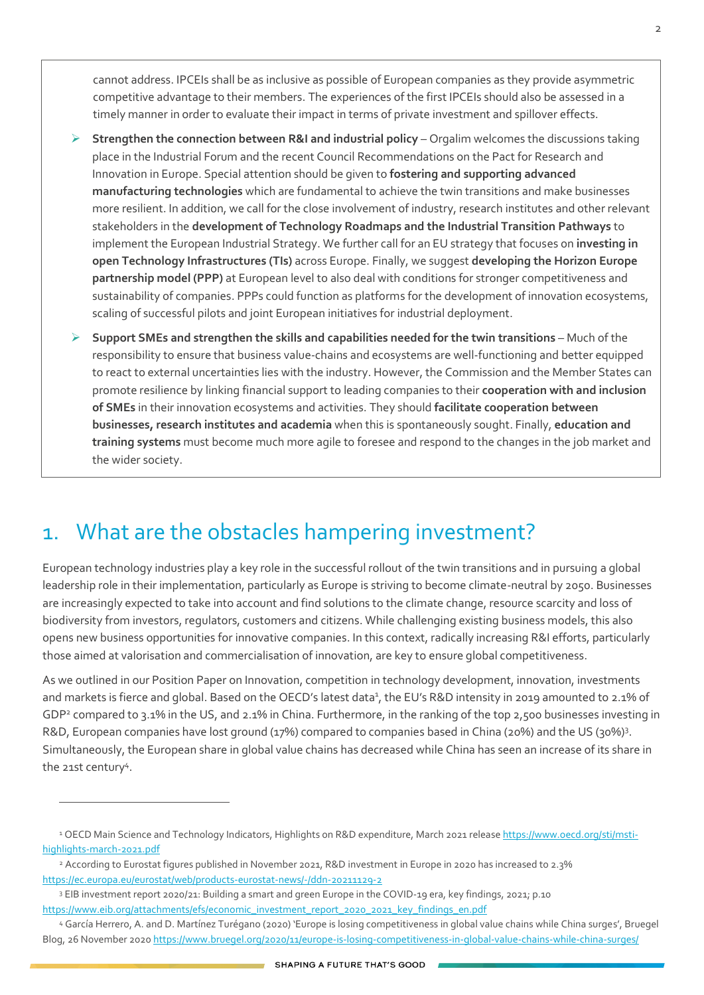cannot address. IPCEIs shall be as inclusive as possible of European companies as they provide asymmetric competitive advantage to their members. The experiences of the first IPCEIs should also be assessed in a timely manner in order to evaluate their impact in terms of private investment and spillover effects.

- ➢ **Strengthen the connection between R&I and industrial policy** Orgalim welcomes the discussions taking place in the Industrial Forum and the recent Council Recommendations on the Pact for Research and Innovation in Europe. Special attention should be given to **fostering and supporting advanced manufacturing technologies** which are fundamental to achieve the twin transitions and make businesses more resilient. In addition, we call for the close involvement of industry, research institutes and other relevant stakeholders in the **development of Technology Roadmaps and the Industrial Transition Pathways** to implement the European Industrial Strategy. We further call for an EU strategy that focuses on **investing in open Technology Infrastructures (TIs)** across Europe. Finally, we suggest **developing the Horizon Europe partnership model (PPP)** at European level to also deal with conditions for stronger competitiveness and sustainability of companies. PPPs could function as platforms for the development of innovation ecosystems, scaling of successful pilots and joint European initiatives for industrial deployment.
- ➢ **Support SMEs and strengthen the skills and capabilities needed for the twin transitions** Much of the responsibility to ensure that business value-chains and ecosystems are well-functioning and better equipped to react to external uncertainties lies with the industry. However, the Commission and the Member States can promote resilience by linking financial support to leading companies to their **cooperation with and inclusion of SMEs** in their innovation ecosystems and activities. They should **facilitate cooperation between businesses, research institutes and academia** when this is spontaneously sought. Finally, **education and training systems** must become much more agile to foresee and respond to the changes in the job market and the wider society.

# 1. What are the obstacles hampering investment?

European technology industries play a key role in the successful rollout of the twin transitions and in pursuing a global leadership role in their implementation, particularly as Europe is striving to become climate-neutral by 2050. Businesses are increasingly expected to take into account and find solutions to the climate change, resource scarcity and loss of biodiversity from investors, regulators, customers and citizens. While challenging existing business models, this also opens new business opportunities for innovative companies. In this context, radically increasing R&I efforts, particularly those aimed at valorisation and commercialisation of innovation, are key to ensure global competitiveness.

As we outlined in ou[r Position Paper on Innovation,](https://orgalim.eu/sites/default/files/attachment/Orgalim%20-%20Putting%20Innovation%20at%20the%20Heart%20of%20EU%20policy_240621_0.pdf) competition in technology development, innovation, investments and markets is fierce and global. Based on the OECD's latest data<sup>1</sup>, the EU's R&D intensity in 2019 amounted to 2.1% of GDP<sup>2</sup> compared to 3.1% in the US, and 2.1% in China. Furthermore, in the ranking of the top 2,500 businesses investing in R&D, European companies have lost ground (17%) compared to companies based in China (20%) and the US (30%)<sup>3</sup>. Simultaneously, the European share in global value chains has decreased while China has seen an increase of its share in the 21st century<sup>4</sup>.

<sup>&</sup>lt;sup>1</sup> OECD Main Science and Technology Indicators, Highlights on R&D expenditure, March 2021 releas[e https://www.oecd.org/sti/msti](https://www.oecd.org/sti/msti-highlights-march-2021.pdf)[highlights-march-2021.pdf](https://www.oecd.org/sti/msti-highlights-march-2021.pdf)

<sup>2</sup> According to Eurostat figures published in November 2021, R&D investment in Europe in 2020 has increased to 2.3% <https://ec.europa.eu/eurostat/web/products-eurostat-news/-/ddn-20211129-2>

<sup>3</sup> EIB investment report 2020/21: Building a smart and green Europe in the COVID-19 era, key findings, 2021; p.10 [https://www.eib.org/attachments/efs/economic\\_investment\\_report\\_2020\\_2021\\_key\\_findings\\_en.pdf](https://www.eib.org/attachments/efs/economic_investment_report_2020_2021_key_findings_en.pdf)

<sup>4</sup> García Herrero, A. and D. Martínez Turégano (2020) 'Europe is losing competitiveness in global value chains while China surges', Bruegel Blog, 26 November 2020<https://www.bruegel.org/2020/11/europe-is-losing-competitiveness-in-global-value-chains-while-china-surges/>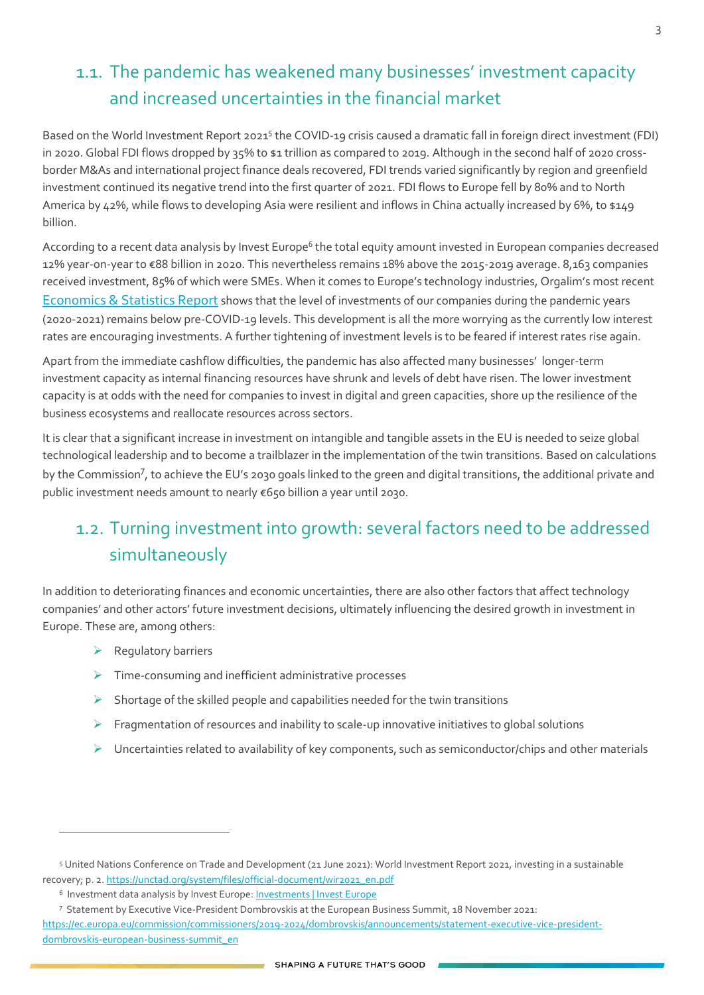# 1.1. The pandemic has weakened many businesses' investment capacity and increased uncertainties in the financial market

Based on the World Investment Report 2021<sup>5</sup> the COVID-19 crisis caused a dramatic fall in foreign direct investment (FDI) in 2020. Global FDI flows dropped by 35% to \$1 trillion as compared to 2019. Although in the second half of 2020 crossborder M&As and international project finance deals recovered, FDI trends varied significantly by region and greenfield investment continued its negative trend into the first quarter of 2021. FDI flows to Europe fell by 80% and to North America by 42%, while flows to developing Asia were resilient and inflows in China actually increased by 6%, to \$149 billion.

According to a recent data analysis by Invest Europe<sup>6</sup> the total equity amount invested in European companies decreased 12% year-on-year to €88 billion in 2020. This nevertheless remains 18% above the 2015-2019 average. 8,163 companies received investment, 85% of which were SMEs. When it comes to Europe's technology industries, Orgalim's most recent [Economics & Statistics Report](https://orgalim.eu/reports/economics-statistics-report-autumn-2021) shows that the level of investments of our companies during the pandemic years (2020-2021) remains below pre-COVID-19 levels. This development is all the more worrying as the currently low interest rates are encouraging investments. A further tightening of investment levels is to be feared if interest rates rise again.

Apart from the immediate cashflow difficulties, the pandemic has also affected many businesses' longer-term investment capacity as internal financing resources have shrunk and levels of debt have risen. The lower investment capacity is at odds with the need for companies to invest in digital and green capacities, shore up the resilience of the business ecosystems and reallocate resources across sectors.

It is clear that a significant increase in investment on intangible and tangible assets in the EU is needed to seize global technological leadership and to become a trailblazer in the implementation of the twin transitions. Based on calculations by the Commission<sup>7</sup>, to achieve the EU's 2030 goals linked to the green and digital transitions, the additional private and public investment needs amount to nearly €650 billion a year until 2030.

## 1.2. Turning investment into growth: several factors need to be addressed simultaneously

In addition to deteriorating finances and economic uncertainties, there are also other factors that affect technology companies' and other actors' future investment decisions, ultimately influencing the desired growth in investment in Europe. These are, among others:

- ➢ Regulatory barriers
- ➢ Time-consuming and inefficient administrative processes
- $\triangleright$  Shortage of the skilled people and capabilities needed for the twin transitions
- $\triangleright$  Fragmentation of resources and inability to scale-up innovative initiatives to global solutions
- $\triangleright$  Uncertainties related to availability of key components, such as semiconductor/chips and other materials

<sup>5</sup> United Nations Conference on Trade and Development (21 June 2021): World Investment Report 2021, investing in a sustainable recovery; p. 2. https://unctad.org/system/files/official-document/wir2021\_en.pdf

<sup>&</sup>lt;sup>6</sup> Investment data analysis by Invest Europe: **Investments | Invest Europe** 

<sup>7</sup> Statement by Executive Vice-President Dombrovskis at the European Business Summit, 18 November 2021:

[https://ec.europa.eu/commission/commissioners/2019-2024/dombrovskis/announcements/statement-executive-vice-president](https://ec.europa.eu/commission/commissioners/2019-2024/dombrovskis/announcements/statement-executive-vice-president-dombrovskis-european-business-summit_en)[dombrovskis-european-business-summit\\_en](https://ec.europa.eu/commission/commissioners/2019-2024/dombrovskis/announcements/statement-executive-vice-president-dombrovskis-european-business-summit_en)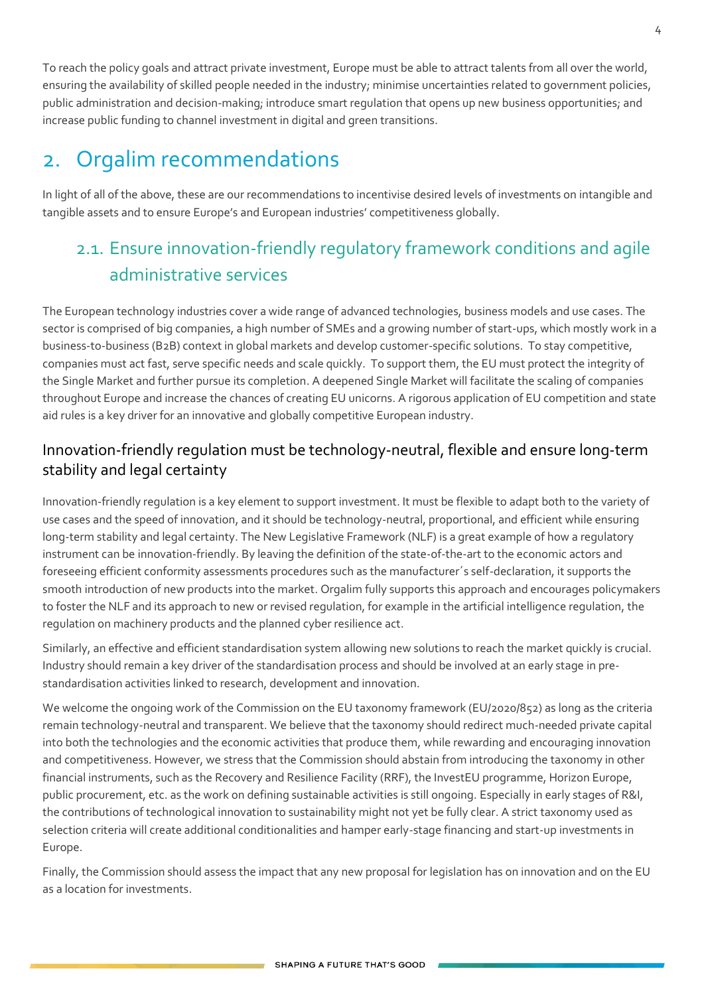To reach the policy goals and attract private investment, Europe must be able to attract talents from all over the world, ensuring the availability of skilled people needed in the industry; minimise uncertainties related to government policies, public administration and decision-making; introduce smart regulation that opens up new business opportunities; and increase public funding to channel investment in digital and green transitions.

# 2. Orgalim recommendations

In light of all of the above, these are our recommendations to incentivise desired levels of investments on intangible and tangible assets and to ensure Europe's and European industries' competitiveness globally.

# 2.1. Ensure innovation-friendly regulatory framework conditions and agile administrative services

The European technology industries cover a wide range of advanced technologies, business models and use cases. The sector is comprised of big companies, a high number of SMEs and a growing number of start-ups, which mostly work in a business-to-business (B2B) context in global markets and develop customer-specific solutions. To stay competitive, companies must act fast, serve specific needs and scale quickly. To support them, the EU must protect the integrity of the Single Market and further pursue its completion. A deepened Single Market will facilitate the scaling of companies throughout Europe and increase the chances of creating EU unicorns. A rigorous application of EU competition and state aid rules is a key driver for an innovative and globally competitive European industry.

#### Innovation-friendly regulation must be technology-neutral, flexible and ensure long-term stability and legal certainty

Innovation-friendly regulation is a key element to support investment. It must be flexible to adapt both to the variety of use cases and the speed of innovation, and it should be technology-neutral, proportional, and efficient while ensuring long-term stability and legal certainty. The New Legislative Framework (NLF) is a great example of how a regulatory instrument can be innovation-friendly. By leaving the definition of the state-of-the-art to the economic actors and foreseeing efficient conformity assessments procedures such as the manufacturer´s self-declaration, it supports the smooth introduction of new products into the market. Orgalim fully supports this approach and encourages policymakers to foster the NLF and its approach to new or revised regulation, for example in the artificial intelligence regulation, the regulation on machinery products and the planned cyber resilience act.

Similarly, an effective and efficient standardisation system allowing new solutions to reach the market quickly is crucial. Industry should remain a key driver of the standardisation process and should be involved at an early stage in prestandardisation activities linked to research, development and innovation.

We welcome the ongoing work of the Commission on the EU taxonomy framework (EU/2020/852) as long as the criteria remain technology-neutral and transparent. We believe that the taxonomy should redirect much-needed private capital into both the technologies and the economic activities that produce them, while rewarding and encouraging innovation and competitiveness. However, we stress that the Commission should abstain from introducing the taxonomy in other financial instruments, such as the Recovery and Resilience Facility (RRF), the InvestEU programme, Horizon Europe, public procurement, etc. as the work on defining sustainable activities is still ongoing. Especially in early stages of R&I, the contributions of technological innovation to sustainability might not yet be fully clear. A strict taxonomy used as selection criteria will create additional conditionalities and hamper early-stage financing and start-up investments in Europe.

Finally, the Commission should assess the impact that any new proposal for legislation has on innovation and on the EU as a location for investments.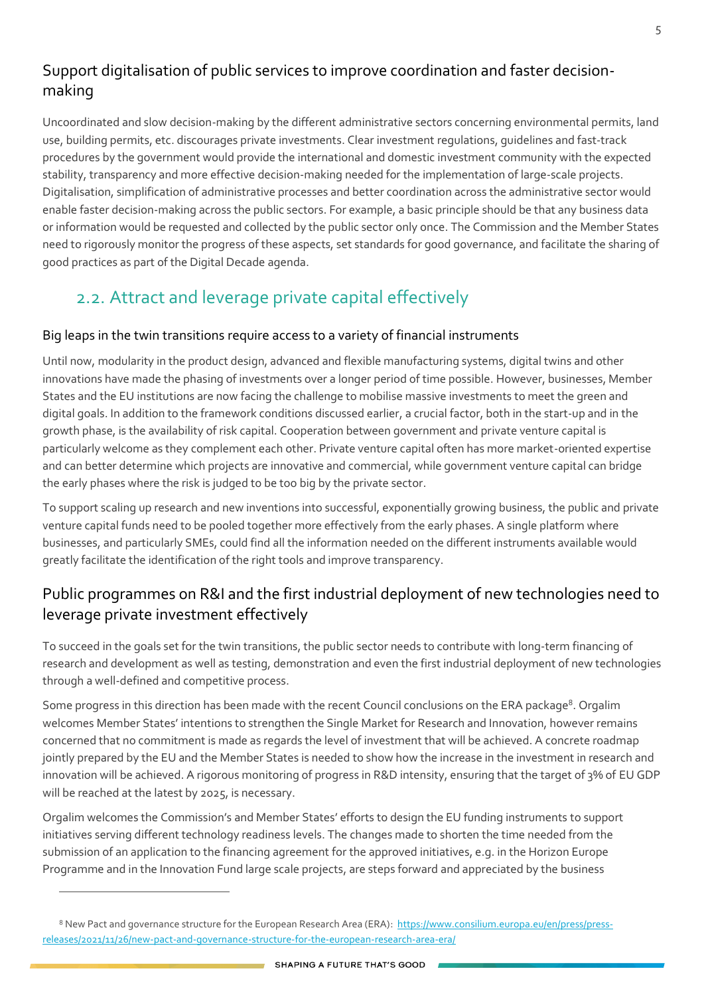#### Support digitalisation of public services to improve coordination and faster decisionmaking

Uncoordinated and slow decision-making by the different administrative sectors concerning environmental permits, land use, building permits, etc. discourages private investments. Clear investment regulations, guidelines and fast-track procedures by the government would provide the international and domestic investment community with the expected stability, transparency and more effective decision-making needed for the implementation of large-scale projects. Digitalisation, simplification of administrative processes and better coordination across the administrative sector would enable faster decision-making across the public sectors. For example, a basic principle should be that any business data or information would be requested and collected by the public sector only once. The Commission and the Member States need to rigorously monitor the progress of these aspects, set standards for good governance, and facilitate the sharing of good practices as part of the Digital Decade agenda.

### 2.2. Attract and leverage private capital effectively

#### Big leaps in the twin transitions require access to a variety of financial instruments

Until now, modularity in the product design, advanced and flexible manufacturing systems, digital twins and other innovations have made the phasing of investments over a longer period of time possible. However, businesses, Member States and the EU institutions are now facing the challenge to mobilise massive investments to meet the green and digital goals. In addition to the framework conditions discussed earlier, a crucial factor, both in the start-up and in the growth phase, is the availability of risk capital. Cooperation between government and private venture capital is particularly welcome as they complement each other. Private venture capital often has more market-oriented expertise and can better determine which projects are innovative and commercial, while government venture capital can bridge the early phases where the risk is judged to be too big by the private sector.

To support scaling up research and new inventions into successful, exponentially growing business, the public and private venture capital funds need to be pooled together more effectively from the early phases. A single platform where businesses, and particularly SMEs, could find all the information needed on the different instruments available would greatly facilitate the identification of the right tools and improve transparency.

#### Public programmes on R&I and the first industrial deployment of new technologies need to leverage private investment effectively

To succeed in the goals set for the twin transitions, the public sector needs to contribute with long-term financing of research and development as well as testing, demonstration and even the first industrial deployment of new technologies through a well-defined and competitive process.

Some progress in this direction has been made with the recent Council conclusions on the ERA package<sup>8</sup>. Orgalim welcomes Member States' intentions to strengthen the Single Market for Research and Innovation, however remains concerned that no commitment is made as regards the level of investment that will be achieved. A concrete roadmap jointly prepared by the EU and the Member States is needed to show how the increase in the investment in research and innovation will be achieved. A rigorous monitoring of progress in R&D intensity, ensuring that the target of 3% of EU GDP will be reached at the latest by 2025, is necessary.

Orgalim welcomes the Commission's and Member States' efforts to design the EU funding instruments to support initiatives serving different technology readiness levels. The changes made to shorten the time needed from the submission of an application to the financing agreement for the approved initiatives, e.g. in the Horizon Europe Programme and in the Innovation Fund large scale projects, are steps forward and appreciated by the business

<sup>8</sup> New Pact and governance structure for the European Research Area (ERA): [https://www.consilium.europa.eu/en/press/press](https://www.consilium.europa.eu/en/press/press-releases/2021/11/26/new-pact-and-governance-structure-for-the-european-research-area-era/)[releases/2021/11/26/new-pact-and-governance-structure-for-the-european-research-area-era/](https://www.consilium.europa.eu/en/press/press-releases/2021/11/26/new-pact-and-governance-structure-for-the-european-research-area-era/)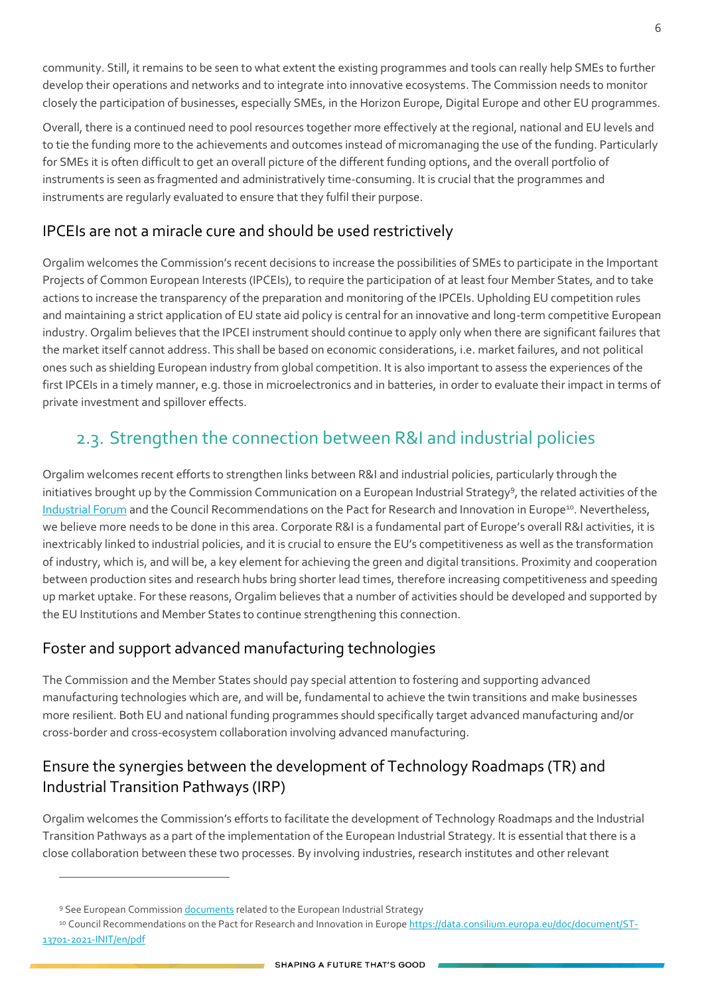community. Still, it remains to be seen to what extent the existing programmes and tools can really help SMEs to further develop their operations and networks and to integrate into innovative ecosystems. The Commission needs to monitor closely the participation of businesses, especially SMEs, in the Horizon Europe, Digital Europe and other EU programmes.

Overall, there is a continued need to pool resources together more effectively at the regional, national and EU levels and to tie the funding more to the achievements and outcomes instead of micromanaging the use of the funding. Particularly for SMEs it is often difficult to get an overall picture of the different funding options, and the overall portfolio of instruments is seen as fragmented and administratively time-consuming. It is crucial that the programmes and instruments are regularly evaluated to ensure that they fulfil their purpose.

#### IPCEIs are not a miracle cure and should be used restrictively

Orgalim welcomes the Commission's recent decisions to increase the possibilities of SMEs to participate in the Important Projects of Common European Interests (IPCEIs), to require the participation of at least four Member States, and to take actions to increase the transparency of the preparation and monitoring of the IPCEIs. Upholding EU competition rules and maintaining a strict application of EU state aid policy is central for an innovative and long-term competitive European industry. Orgalim believes that the IPCEI instrument should continue to apply only when there are significant failures that the market itself cannot address. This shall be based on economic considerations, i.e. market failures, and not political ones such as shielding European industry from global competition. It is also important to assess the experiences of the first IPCEIs in a timely manner, e.g. those in microelectronics and in batteries, in order to evaluate their impact in terms of private investment and spillover effects.

### 2.3. Strengthen the connection between R&I and industrial policies

Orgalim welcomes recent efforts to strengthen links between R&I and industrial policies, particularly through the initiatives brought up by the Commission Communication on a European Industrial Strategy<sup>9</sup>, the related activities of the [Industrial Forum](https://orgalim.eu/news/orgalim-president-rada-rodriguez-appointed-eu-industrial-forum) and the Council Recommendations on the Pact for Research and Innovation in Europe<sup>10</sup>. Nevertheless, we believe more needs to be done in this area. Corporate R&I is a fundamental part of Europe's overall R&I activities, it is inextricably linked to industrial policies, and it is crucial to ensure the EU's competitiveness as well as the transformation of industry, which is, and will be, a key element for achieving the green and digital transitions. Proximity and cooperation between production sites and research hubs bring shorter lead times, therefore increasing competitiveness and speeding up market uptake. For these reasons, Orgalim believes that a number of activities should be developed and supported by the EU Institutions and Member States to continue strengthening this connection.

#### Foster and support advanced manufacturing technologies

The Commission and the Member States should pay special attention to fostering and supporting advanced manufacturing technologies which are, and will be, fundamental to achieve the twin transitions and make businesses more resilient. Both EU and national funding programmes should specifically target advanced manufacturing and/or cross-border and cross-ecosystem collaboration involving advanced manufacturing.

#### Ensure the synergies between the development of Technology Roadmaps (TR) and Industrial Transition Pathways (IRP)

Orgalim welcomes the Commission's efforts to facilitate the development of Technology Roadmaps and the Industrial Transition Pathways as a part of the implementation of the European Industrial Strategy. It is essential that there is a close collaboration between these two processes. By involving industries, research institutes and other relevant

<sup>9</sup> See European Commissio[n documents](https://ec.europa.eu/info/strategy/priorities-2019-2024/europe-fit-digital-age/european-industrial-strategy_en#documents) related to the European Industrial Strategy

<sup>10</sup> Council Recommendations on the Pact for Research and Innovation in Europe [https://data.consilium.europa.eu/doc/document/ST-](https://data.consilium.europa.eu/doc/document/ST-13701-2021-INIT/en/pdf)[13701-2021-INIT/en/pdf](https://data.consilium.europa.eu/doc/document/ST-13701-2021-INIT/en/pdf)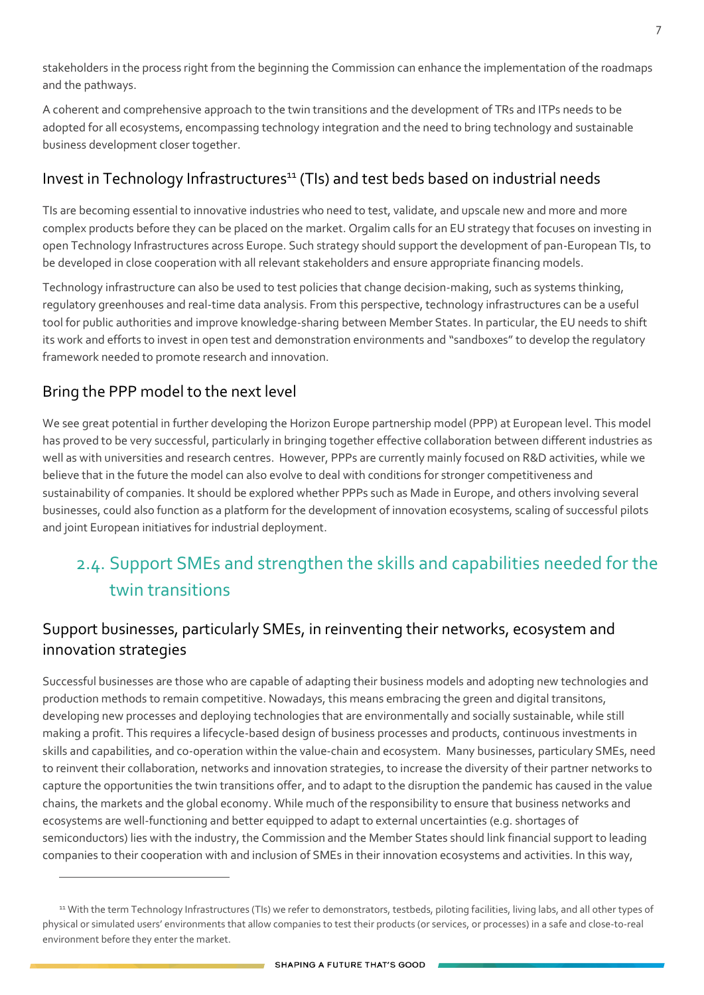stakeholders in the process right from the beginning the Commission can enhance the implementation of the roadmaps and the pathways.

A coherent and comprehensive approach to the twin transitions and the development of TRs and ITPs needs to be adopted for all ecosystems, encompassing technology integration and the need to bring technology and sustainable business development closer together.

#### Invest in Technology Infrastructures<sup>11</sup> (TIs) and test beds based on industrial needs

TIs are becoming essential to innovative industries who need to test, validate, and upscale new and more and more complex products before they can be placed on the market. Orgalim calls for an EU strategy that focuses on investing in open Technology Infrastructures across Europe. Such strategy should support the development of pan-European TIs, to be developed in close cooperation with all relevant stakeholders and ensure appropriate financing models.

Technology infrastructure can also be used to test policies that change decision-making, such as systems thinking, regulatory greenhouses and real-time data analysis. From this perspective, technology infrastructures can be a useful tool for public authorities and improve knowledge-sharing between Member States. In particular, the EU needs to shift its work and efforts to invest in open test and demonstration environments and "sandboxes" to develop the regulatory framework needed to promote research and innovation.

#### Bring the PPP model to the next level

We see great potential in further developing the Horizon Europe partnership model (PPP) at European level. This model has proved to be very successful, particularly in bringing together effective collaboration between different industries as well as with universities and research centres. However, PPPs are currently mainly focused on R&D activities, while we believe that in the future the model can also evolve to deal with conditions for stronger competitiveness and sustainability of companies. It should be explored whether PPPs such as Made in Europe, and others involving several businesses, could also function as a platform for the development of innovation ecosystems, scaling of successful pilots and joint European initiatives for industrial deployment.

# 2.4. Support SMEs and strengthen the skills and capabilities needed for the twin transitions

#### Support businesses, particularly SMEs, in reinventing their networks, ecosystem and innovation strategies

Successful businesses are those who are capable of adapting their business models and adopting new technologies and production methods to remain competitive. Nowadays, this means embracing the green and digital transitons, developing new processes and deploying technologies that are environmentally and socially sustainable, while still making a profit. This requires a lifecycle-based design of business processes and products, continuous investments in skills and capabilities, and co-operation within the value-chain and ecosystem. Many businesses, particulary SMEs, need to reinvent their collaboration, networks and innovation strategies, to increase the diversity of their partner networks to capture the opportunities the twin transitions offer, and to adapt to the disruption the pandemic has caused in the value chains, the markets and the global economy. While much of the responsibility to ensure that business networks and ecosystems are well-functioning and better equipped to adapt to external uncertainties (e.g. shortages of semiconductors) lies with the industry, the Commission and the Member States should link financial support to leading companies to their cooperation with and inclusion of SMEs in their innovation ecosystems and activities. In this way,

 $\sim$  10  $\mu$ 

<sup>11</sup> With the term Technology Infrastructures (TIs) we refer to demonstrators, testbeds, piloting facilities, living labs, and all other types of physical or simulated users' environments that allow companies to test their products (or services, or processes) in a safe and close-to-real environment before they enter the market.